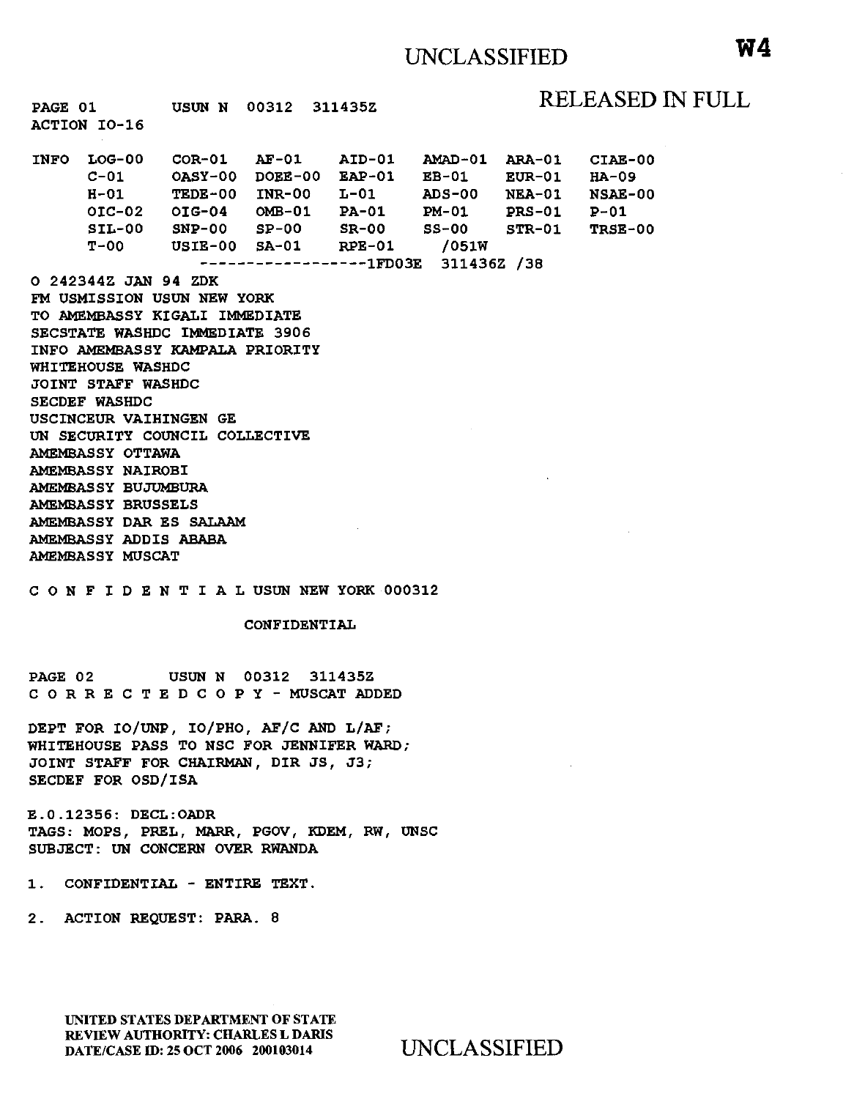| PAGE 01 USUN N 00312 311435Z<br>ACTION IO-16                                                                                                                                                                                                                                                                                                                                                                                                                                                                                                                       |  |  |                      |  |                                                                                                                                                                                                                                                                |  | RELEASED IN FULL |  |
|--------------------------------------------------------------------------------------------------------------------------------------------------------------------------------------------------------------------------------------------------------------------------------------------------------------------------------------------------------------------------------------------------------------------------------------------------------------------------------------------------------------------------------------------------------------------|--|--|----------------------|--|----------------------------------------------------------------------------------------------------------------------------------------------------------------------------------------------------------------------------------------------------------------|--|------------------|--|
|                                                                                                                                                                                                                                                                                                                                                                                                                                                                                                                                                                    |  |  |                      |  | INFO LOG-00 COR-01 AF-01 AID-01 AMAD-01 ARA-01 CIAE-00<br>$C-01$ OASY-00 DOEE-00 EAP-01 EB-01 EUR-01 HA-09<br>H-01 TEDE-00 INR-00 L-01 ADS-00 NEA-01 NSAE-00<br>OIC-02 OIG-04 OMB-01 PA-01 PM-01 PRS-01 P-01<br>SIL-00 SNP-00 SP-00 SR-00 SS-00 STR-01 TRSE-00 |  |                  |  |
| T-00 USIE-00 SA-01 RPE-01 /051W<br>-----------------1FD03E 311436Z /38<br>O 242344Z JAN 94 ZDK<br>FM USMISSION USUN NEW YORK<br>TO AMEMBASSY KIGALI IMMEDIATE<br>SECSTATE WASHDC IMMEDIATE 3906<br>INFO AMEMBASSY KAMPALA PRIORITY<br>WHITEHOUSE WASHDC<br>JOINT STAFF WASHDC<br>SECDEF WASHDC<br>USCINCEUR VAIHINGEN GE<br>UN SECURITY COUNCIL COLLECTIVE<br>AMEMBASSY OTTAWA<br>AMEMBASSY NAIROBI<br>AMEMBASSY BUJUMBURA<br>AMEMBASSY BRUSSELS<br>AMEMBASSY DAR ES SALAAM<br>AMEMBASSY ADDIS ABABA<br><b>AMEMBASSY MUSCAT</b><br>CONFIDENTIALUSUNNEW YORK 000312 |  |  |                      |  |                                                                                                                                                                                                                                                                |  |                  |  |
| CONFIDENTIAL                                                                                                                                                                                                                                                                                                                                                                                                                                                                                                                                                       |  |  |                      |  |                                                                                                                                                                                                                                                                |  |                  |  |
| PAGE 02                                                                                                                                                                                                                                                                                                                                                                                                                                                                                                                                                            |  |  | USUN N 00312 311435Z |  |                                                                                                                                                                                                                                                                |  |                  |  |

C 0 R R E C T E D C 0 P Y - MUSCAT ADDED

DEPT FOR IO/UNP, IO/PHO, AF/C AND L/AF; WHITEHOUSE PASS TO NSC FOR JENNIFER WARD; JOINT STAFF FOR CHAIRMAN, DIR JS, J3; SECDEF FOR OSD/ISA

E.O.l2356: DECL:OADR TAGS: MOPS, PREL, MARR, PGOV, KDEM, RW, UNSC SUBJECT: UN CONCERN OVER RWANDA

1. CONFIDENTIAL - ENTIRE TEXT.

2. ACTION REQUEST: PARA. 8

UNITED STATES DEPARTMENT OF STATE REVIEW AUTHORITY: CHARLES L DARIS DATE/CASE ID: 25 OCT 2006 200103014 UNCLASSIFIED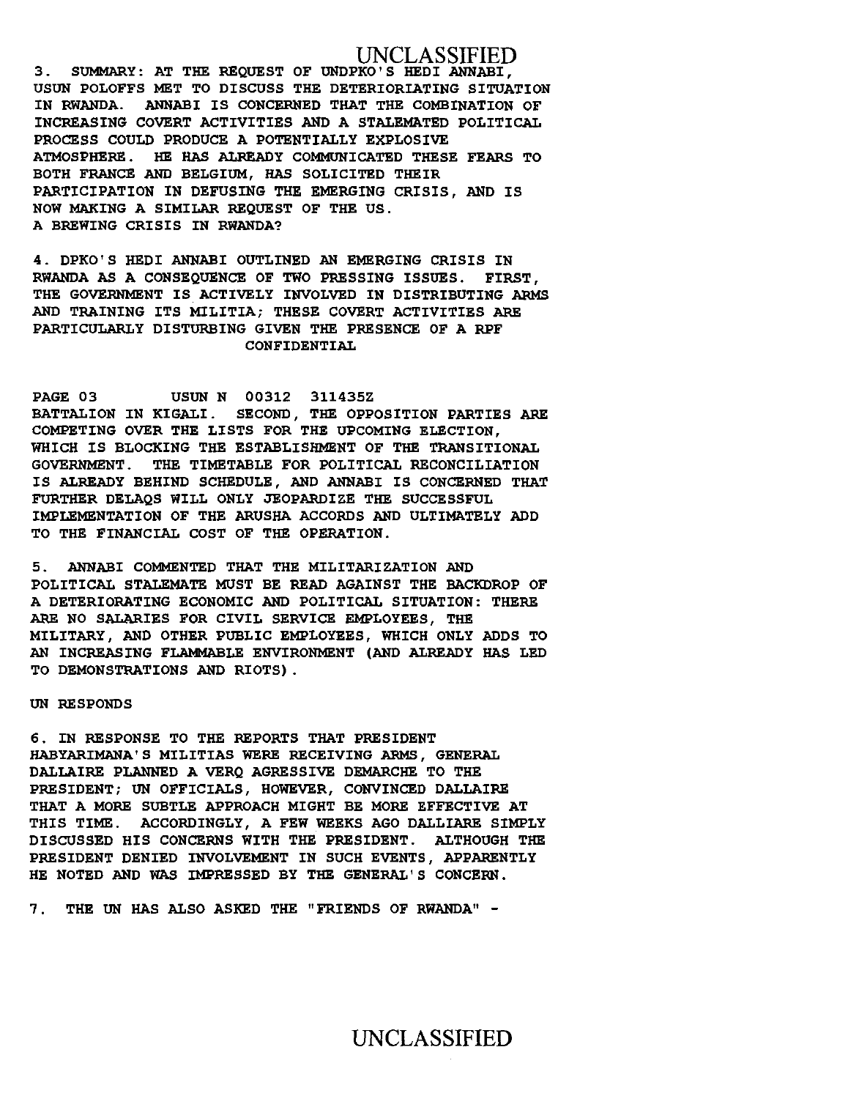# UNCLASSIFIED

3. SUMMARY: AT THE REQUEST OF UNDPKO' S HEDI ANNABI, USUN POLOFFS MET TO DISCUSS THE DETERIORIATING SITUATION IN RWANDA. ANNABI IS CONCERNED THAT THE COMBINATION OF INCREASING COVERT ACTIVITIES AND A STALEMATED POLITICAL PROCESS COULD PRODUCE A POTENTIALLY EXPLOSIVE ATMOSPHERE. HE HAS ALREADY COMMUNICATED THESE FEARS TO BOTH FRANCE AND BELGIUM, HAS SOLICITED THEIR PARTICIPATION IN DEFUSING THE EMERGING CRISIS, AND IS NOW MAKING A SIMILAR REQUEST OF THE US. A BREWING CRISIS IN RWANDA?

4. DPKO'S HEDI ANNABI OUTLINED AN EMERGING CRISIS IN RWANDA AS A CONSEQUENCE OF TWO PRESSING ISSUES. FIRST, THE GOVERNMENT IS ACTIVELY INVOLVED IN DISTRIBUTING ARMS AND TRAINING ITS MILITIA; THESE COVERT ACTIVITIES ARE PARTICULARLY DISTURBING GIVEN THE PRESENCE OF A RPF CONFIDENTIAL

PAGE 03 USUN N 00312 311435Z BATTALION IN KIGALI. SECOND, THE OPPOSITION PARTIES ARE COMPETING OVER THE LISTS FOR THE UPCOMING ELECTION, WHICH IS BLOCKING THE ESTABLISHMENT OF THE TRANSITIONAL GOVERNMENT. THE TIMETABLE FOR POLITICAL RECONCILIATION IS ALREADY BEHIND SCHEDULE, AND ANNABI IS CONCERNED THAT FURTHER DELAQS WILL ONLY JEOPARDIZE THE SUCCESSFUL IMPLEMENTATION OF THE ARUSHA ACCORDS AND ULTIMATELY ADD TO THE FINANCIAL COST OF THE OPERATION.

5. ANNAB! COMMENTED THAT THE MILITARIZATION AND POLITICAL STALEMATE MUST BE READ AGAINST THE BACKDROP OF A DETERIORATING ECONOMIC AND POLITICAL SITUATION: THERE ARE NO SALARIES FOR CIVIL SERVICE EMPLOYEES, THE MILITARY, AND OTHER PUBLIC EMPLOYEES, WHICH ONLY ADDS TO AN INCREASING FLAMMABLE ENVIRONMENT (AND ALREADY HAS LED TO DEMONSTRATIONS AND RIOTS) .

### UN RESPONDS

6. IN RESPONSE TO THE REPORTS THAT PRESIDENT HABYARIMANA' S MILITIAS WERE RECEIVING ARMS, GENERAL DALLAIRE PLANNED A VERQ AGRESSIVE DEMARCHE TO THE PRESIDENT; UN OFFICIALS, HOWEVER, CONVINCED DALLAIRE THAT A MORE SUBTLE APPROACH MIGHT BE MORE EFFECTIVE AT THIS TIME. ACCORDINGLY, A FEW WEEKS AGO DALLIARE SIMPLY DISCUSSED HIS CONCERNS WITH THE PRESIDENT. ALTHOUGH THE PRESIDENT DENIED INVOLVEMENT IN SUCH EVENTS, APPARENTLY HE NOTED AND WAS IMPRESSED BY THE GENERAL' S CONCERN.

7 . THE UN HAS ALSO ASKED THE "FRIENDS OF RWANDA" -